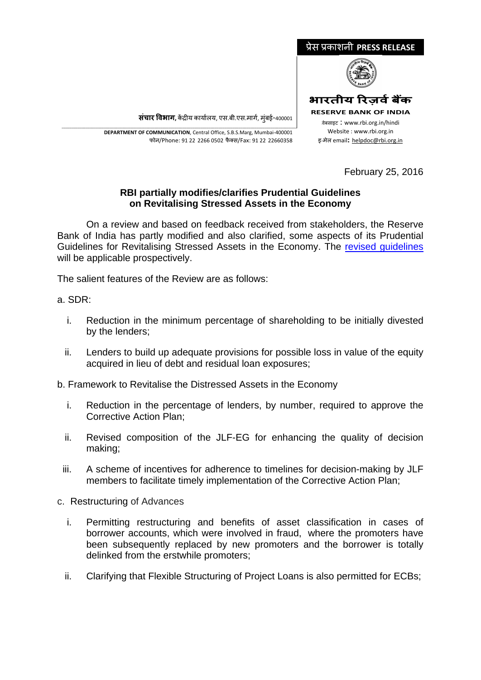

**संचार �वभाग,** क�द्र�य कायार्लय, एस.बी.एस.मागर्, मुंबई-400001

\_\_\_\_\_\_\_\_\_\_\_\_\_\_\_\_\_\_\_\_\_\_\_\_\_\_\_\_\_\_\_\_\_\_\_\_\_\_\_\_\_\_\_\_\_\_\_\_\_\_\_\_\_\_\_\_\_\_\_\_\_\_\_\_\_\_\_\_\_\_\_\_\_\_\_\_\_\_\_\_\_\_\_\_\_\_\_\_\_\_\_\_\_\_\_\_\_\_\_\_\_\_\_\_\_\_\_\_\_\_\_\_\_\_\_\_\_ **DEPARTMENT OF COMMUNICATION**, Central Office, S.B.S.Marg, Mumbai-400001 फोन/Phone: 91 22 2266 0502 फै क्स/Fax: 91 22 22660358

February 25, 2016

## **RBI partially modifies/clarifies Prudential Guidelines on Revitalising Stressed Assets in the Economy**

On a review and based on feedback received from stakeholders, the Reserve Bank of India has partly modified and also clarified, some aspects of its Prudential Guidelines for Revitalising Stressed Assets in the Economy. The [revised guidelines](https://www.rbi.org.in/Scripts/NotificationUser.aspx?Id=10293&Mode=0) will be applicable prospectively.

The salient features of the Review are as follows:

## a. SDR:

- i. Reduction in the minimum percentage of shareholding to be initially divested by the lenders;
- ii. Lenders to build up adequate provisions for possible loss in value of the equity acquired in lieu of debt and residual loan exposures;
- b. Framework to Revitalise the Distressed Assets in the Economy
	- i. Reduction in the percentage of lenders, by number, required to approve the Corrective Action Plan;
	- ii. Revised composition of the JLF-EG for enhancing the quality of decision making;
	- iii. A scheme of incentives for adherence to timelines for decision-making by JLF members to facilitate timely implementation of the Corrective Action Plan;
- c. Restructuring of Advances
	- i. Permitting restructuring and benefits of asset classification in cases of borrower accounts, which were involved in fraud, where the promoters have been subsequently replaced by new promoters and the borrower is totally delinked from the erstwhile promoters;
	- ii. Clarifying that Flexible Structuring of Project Loans is also permitted for ECBs;